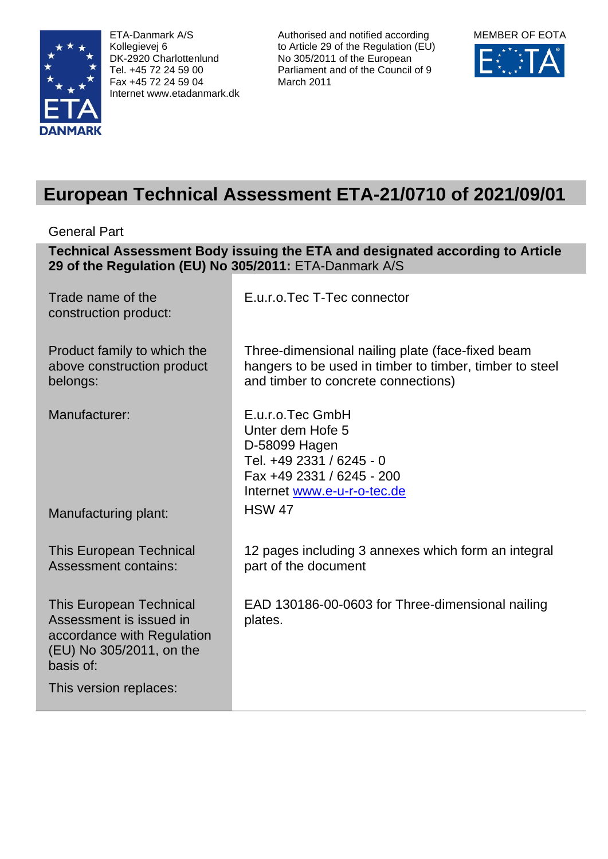

ETA-Danmark A/S Kollegievej 6 DK-2920 Charlottenlund Tel. +45 72 24 59 00 Fax +45 72 24 59 04 Internet www.etadanmark.dk Authorised and notified according to Article 29 of the Regulation (EU) No 305/2011 of the European Parliament and of the Council of 9 March 2011



# **European Technical Assessment ETA-21/0710 of 2021/09/01**

General Part

**Technical Assessment Body issuing the ETA and designated according to Article 29 of the Regulation (EU) No 305/2011:** ETA-Danmark A/S

| Trade name of the<br>construction product:                                                                                       | E.u.r.o.Tec T-Tec connector                                                                                                                        |
|----------------------------------------------------------------------------------------------------------------------------------|----------------------------------------------------------------------------------------------------------------------------------------------------|
| Product family to which the<br>above construction product<br>belongs:                                                            | Three-dimensional nailing plate (face-fixed beam<br>hangers to be used in timber to timber, timber to steel<br>and timber to concrete connections) |
| Manufacturer:                                                                                                                    | E.u.r.o.Tec GmbH<br>Unter dem Hofe 5<br>D-58099 Hagen<br>Tel. +49 2331 / 6245 - 0<br>Fax +49 2331 / 6245 - 200<br>Internet www.e-u-r-o-tec.de      |
| Manufacturing plant:                                                                                                             | <b>HSW 47</b>                                                                                                                                      |
| <b>This European Technical</b><br><b>Assessment contains:</b>                                                                    | 12 pages including 3 annexes which form an integral<br>part of the document                                                                        |
| <b>This European Technical</b><br>Assessment is issued in<br>accordance with Regulation<br>(EU) No 305/2011, on the<br>basis of: | EAD 130186-00-0603 for Three-dimensional nailing<br>plates.                                                                                        |
| This version replaces:                                                                                                           |                                                                                                                                                    |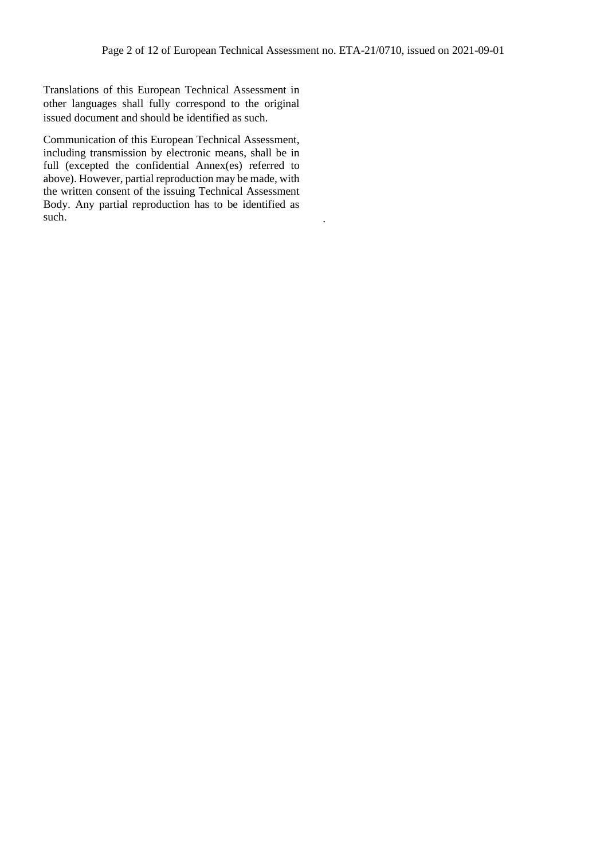Translations of this European Technical Assessment in other languages shall fully correspond to the original issued document and should be identified as such.

Communication of this European Technical Assessment, including transmission by electronic means, shall be in full (excepted the confidential Annex(es) referred to above). However, partial reproduction may be made, with the written consent of the issuing Technical Assessment Body. Any partial reproduction has to be identified as such.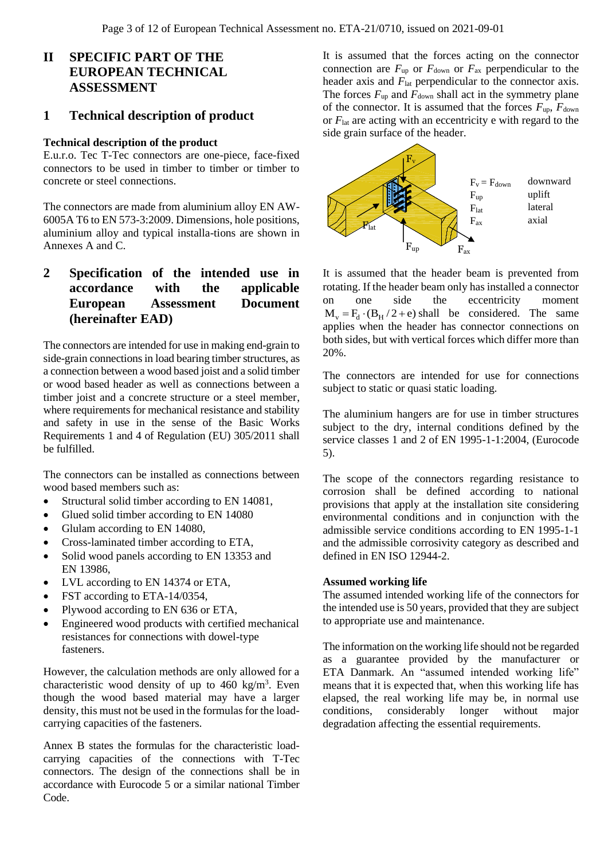# **II SPECIFIC PART OF THE EUROPEAN TECHNICAL ASSESSMENT**

### **1 Technical description of product**

#### **Technical description of the product**

E.u.r.o. Tec T-Tec connectors are one-piece, face-fixed connectors to be used in timber to timber or timber to concrete or steel connections.

The connectors are made from aluminium alloy EN AW-6005A T6 to EN 573-3:2009. Dimensions, hole positions, aluminium alloy and typical installa-tions are shown in Annexes A and C.

# **2 Specification of the intended use in accordance with the applicable European Assessment Document (hereinafter EAD)**

The connectors are intended for use in making end-grain to side-grain connections in load bearing timber structures, as a connection between a wood based joist and a solid timber or wood based header as well as connections between a timber joist and a concrete structure or a steel member, where requirements for mechanical resistance and stability and safety in use in the sense of the Basic Works Requirements 1 and 4 of Regulation (EU) 305/2011 shall be fulfilled.

The connectors can be installed as connections between wood based members such as:

- Structural solid timber according to EN 14081,
- Glued solid timber according to EN 14080
- Glulam according to EN 14080,
- Cross-laminated timber according to ETA,
- Solid wood panels according to EN 13353 and EN 13986,
- LVL according to EN 14374 or ETA,
- FST according to ETA-14/0354,
- Plywood according to EN 636 or ETA,
- Engineered wood products with certified mechanical resistances for connections with dowel-type fasteners.

However, the calculation methods are only allowed for a characteristic wood density of up to  $460 \text{ kg/m}^3$ . Even though the wood based material may have a larger density, this must not be used in the formulas for the loadcarrying capacities of the fasteners.

Annex B states the formulas for the characteristic loadcarrying capacities of the connections with T-Tec connectors. The design of the connections shall be in accordance with Eurocode 5 or a similar national Timber Code.

It is assumed that the forces acting on the connector connection are  $F_{\text{up}}$  or  $F_{\text{down}}$  or  $F_{\text{ax}}$  perpendicular to the header axis and  $F_{\text{lat}}$  perpendicular to the connector axis. The forces  $F_{up}$  and  $F_{down}$  shall act in the symmetry plane of the connector. It is assumed that the forces  $F_{\text{up}}$ ,  $F_{\text{down}}$ or *F*lat are acting with an eccentricity e with regard to the side grain surface of the header.



It is assumed that the header beam is prevented from rotating. If the header beam only has installed a connector on one side the eccentricity moment  $M_v = F_d \cdot (B_H / 2 + e)$  shall be considered. The same applies when the header has connector connections on both sides, but with vertical forces which differ more than 20%.

The connectors are intended for use for connections subject to static or quasi static loading.

The aluminium hangers are for use in timber structures subject to the dry, internal conditions defined by the service classes 1 and 2 of EN 1995-1-1:2004, (Eurocode 5).

The scope of the connectors regarding resistance to corrosion shall be defined according to national provisions that apply at the installation site considering environmental conditions and in conjunction with the admissible service conditions according to EN 1995-1-1 and the admissible corrosivity category as described and defined in EN ISO 12944-2.

#### **Assumed working life**

The assumed intended working life of the connectors for the intended use is 50 years, provided that they are subject to appropriate use and maintenance.

The information on the working life should not be regarded as a guarantee provided by the manufacturer or ETA Danmark. An "assumed intended working life" means that it is expected that, when this working life has elapsed, the real working life may be, in normal use conditions, considerably longer without major degradation affecting the essential requirements.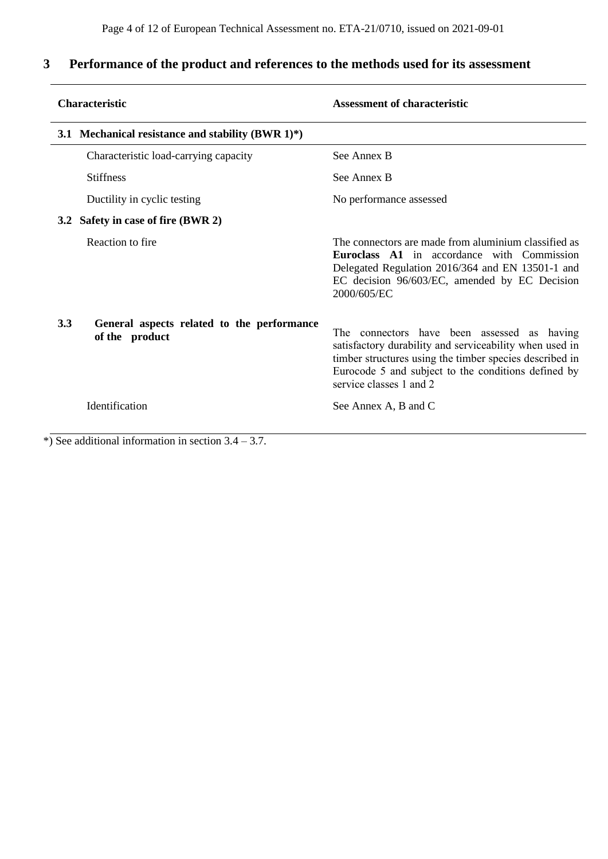# **3 Performance of the product and references to the methods used for its assessment**

| <b>Characteristic</b>                                               | <b>Assessment of characteristic</b>                                                                                                                                                                                                                 |  |  |  |
|---------------------------------------------------------------------|-----------------------------------------------------------------------------------------------------------------------------------------------------------------------------------------------------------------------------------------------------|--|--|--|
| 3.1 Mechanical resistance and stability (BWR $1)*$ )                |                                                                                                                                                                                                                                                     |  |  |  |
| Characteristic load-carrying capacity                               | See Annex B                                                                                                                                                                                                                                         |  |  |  |
| <b>Stiffness</b>                                                    | See Annex B                                                                                                                                                                                                                                         |  |  |  |
| Ductility in cyclic testing                                         | No performance assessed                                                                                                                                                                                                                             |  |  |  |
| 3.2 Safety in case of fire (BWR 2)                                  |                                                                                                                                                                                                                                                     |  |  |  |
| Reaction to fire                                                    | The connectors are made from aluminium classified as<br><b>Euroclass A1</b> in accordance with Commission<br>Delegated Regulation 2016/364 and EN 13501-1 and<br>EC decision 96/603/EC, amended by EC Decision<br>2000/605/EC                       |  |  |  |
| 3.3<br>General aspects related to the performance<br>of the product | The connectors have been assessed as having<br>satisfactory durability and serviceability when used in<br>timber structures using the timber species described in<br>Eurocode 5 and subject to the conditions defined by<br>service classes 1 and 2 |  |  |  |
| Identification                                                      | See Annex A, B and C                                                                                                                                                                                                                                |  |  |  |
| See additional information in section $3.4 - 3.7$ .                 |                                                                                                                                                                                                                                                     |  |  |  |

\*) See additional information in section 3.4 – 3.7.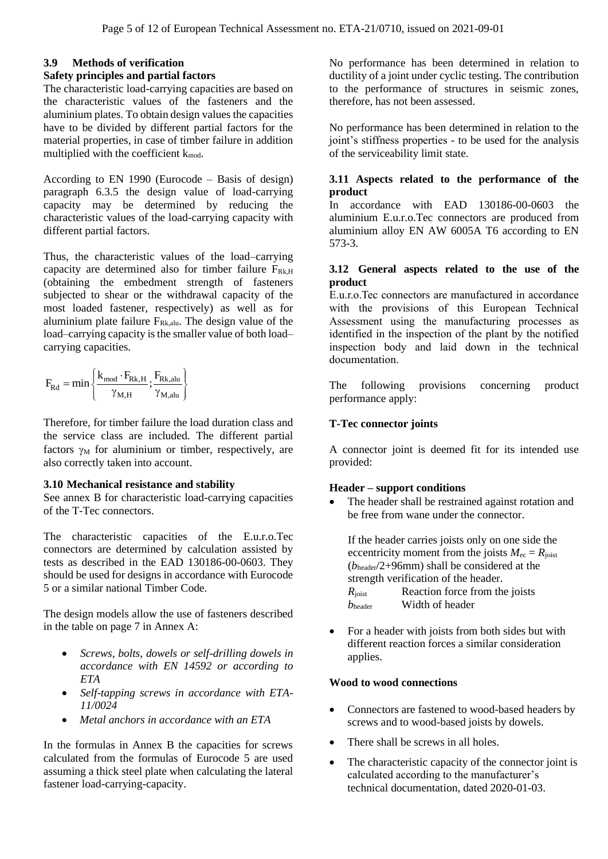#### **3.9 Methods of verification Safety principles and partial factors**

The characteristic load-carrying capacities are based on the characteristic values of the fasteners and the aluminium plates. To obtain design values the capacities have to be divided by different partial factors for the material properties, in case of timber failure in addition multiplied with the coefficient  $k_{mod}$ .

According to EN 1990 (Eurocode – Basis of design) paragraph 6.3.5 the design value of load-carrying capacity may be determined by reducing the characteristic values of the load-carrying capacity with different partial factors.

Thus, the characteristic values of the load–carrying capacity are determined also for timber failure  $F_{Rk,H}$ (obtaining the embedment strength of fasteners subjected to shear or the withdrawal capacity of the most loaded fastener, respectively) as well as for aluminium plate failure  $F_{Rk,alu}$ . The design value of the load–carrying capacity is the smaller value of both load– carrying capacities.

$$
F_{Rd} = min\left\{\frac{k_{mod}\cdot F_{Rk,H}}{\gamma_{M,H}};\frac{F_{Rk,alu}}{\gamma_{M,alu}}\right\}
$$

Therefore, for timber failure the load duration class and the service class are included. The different partial factors  $\gamma_M$  for aluminium or timber, respectively, are also correctly taken into account.

#### **3.10 Mechanical resistance and stability**

See annex B for characteristic load-carrying capacities of the T-Tec connectors.

The characteristic capacities of the E.u.r.o.Tec connectors are determined by calculation assisted by tests as described in the EAD 130186-00-0603. They should be used for designs in accordance with Eurocode 5 or a similar national Timber Code.

The design models allow the use of fasteners described in the table on page 7 in Annex A:

- *Screws, bolts, dowels or self-drilling dowels in accordance with EN 14592 or according to ETA*
- *Self-tapping screws in accordance with ETA-11/0024*
- *Metal anchors in accordance with an ETA*

In the formulas in Annex B the capacities for screws calculated from the formulas of Eurocode 5 are used assuming a thick steel plate when calculating the lateral fastener load-carrying-capacity.

No performance has been determined in relation to ductility of a joint under cyclic testing. The contribution to the performance of structures in seismic zones, therefore, has not been assessed.

No performance has been determined in relation to the joint's stiffness properties - to be used for the analysis of the serviceability limit state.

### **3.11 Aspects related to the performance of the product**

In accordance with EAD 130186-00-0603 the aluminium E.u.r.o.Tec connectors are produced from aluminium alloy EN AW 6005A T6 according to EN 573-3.

#### **3.12 General aspects related to the use of the product**

E.u.r.o.Tec connectors are manufactured in accordance with the provisions of this European Technical Assessment using the manufacturing processes as identified in the inspection of the plant by the notified inspection body and laid down in the technical documentation.

The following provisions concerning product performance apply:

#### **T-Tec connector joints**

A connector joint is deemed fit for its intended use provided:

#### **Header – support conditions**

• The header shall be restrained against rotation and be free from wane under the connector.

If the header carries joists only on one side the eccentricity moment from the joists  $M_{\text{ec}} = R_{\text{ionst}}$ (*b*header/2+96mm) shall be considered at the strength verification of the header. *R*<sub>joist</sub> Reaction force from the joists *b*header Width of header

• For a header with joists from both sides but with different reaction forces a similar consideration applies.

#### **Wood to wood connections**

- Connectors are fastened to wood-based headers by screws and to wood-based joists by dowels.
- There shall be screws in all holes.
- The characteristic capacity of the connector joint is calculated according to the manufacturer's technical documentation, dated 2020-01-03.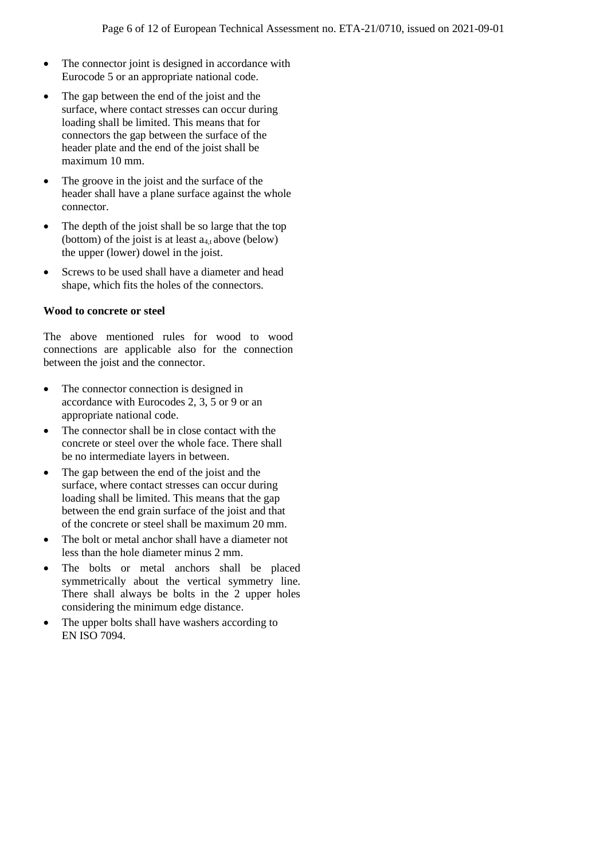- The connector joint is designed in accordance with Eurocode 5 or an appropriate national code.
- The gap between the end of the joist and the surface, where contact stresses can occur during loading shall be limited. This means that for connectors the gap between the surface of the header plate and the end of the joist shall be maximum 10 mm.
- The groove in the joist and the surface of the header shall have a plane surface against the whole connector.
- The depth of the joist shall be so large that the top (bottom) of the joist is at least  $a_{4,t}$  above (below) the upper (lower) dowel in the joist.
- Screws to be used shall have a diameter and head shape, which fits the holes of the connectors.

#### **Wood to concrete or steel**

The above mentioned rules for wood to wood connections are applicable also for the connection between the joist and the connector.

- The connector connection is designed in accordance with Eurocodes 2, 3, 5 or 9 or an appropriate national code.
- The connector shall be in close contact with the concrete or steel over the whole face. There shall be no intermediate layers in between.
- The gap between the end of the joist and the surface, where contact stresses can occur during loading shall be limited. This means that the gap between the end grain surface of the joist and that of the concrete or steel shall be maximum 20 mm.
- The bolt or metal anchor shall have a diameter not less than the hole diameter minus 2 mm.
- The bolts or metal anchors shall be placed symmetrically about the vertical symmetry line. There shall always be bolts in the 2 upper holes considering the minimum edge distance.
- The upper bolts shall have washers according to EN ISO 7094.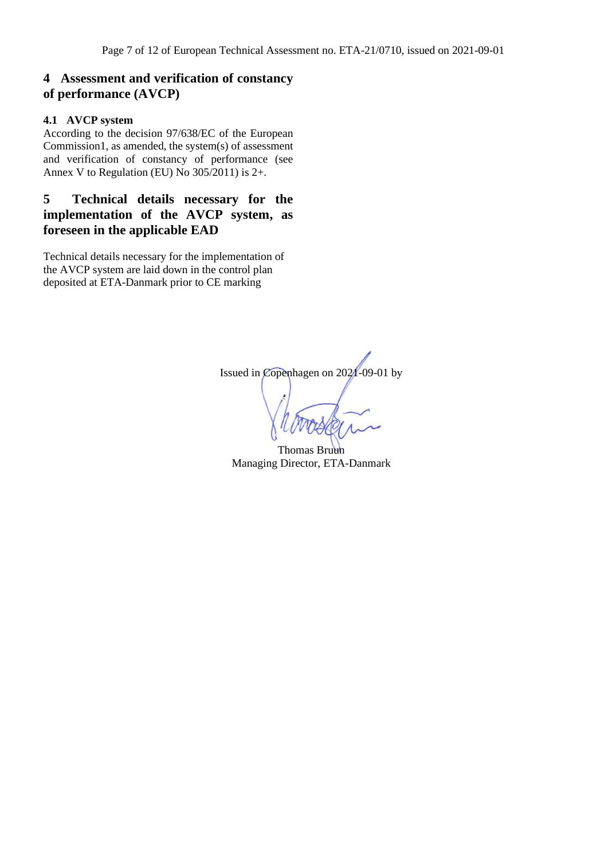# **4 Assessment and verification of constancy of performance (AVCP)**

### **4.1 AVCP system**

According to the decision 97/638/EC of the European Commission1, as amended, the system(s) of assessment and verification of constancy of performance (see Annex V to Regulation (EU) No 305/2011) is 2+.

# **5 Technical details necessary for the implementation of the AVCP system, as foreseen in the applicable EAD**

Technical details necessary for the implementation of the AVCP system are laid down in the control plan deposited at ETA-Danmark prior to CE marking

Issued in Copenhagen on 2021-09-01 by

Thomas Bruun Managing Director, ETA-Danmark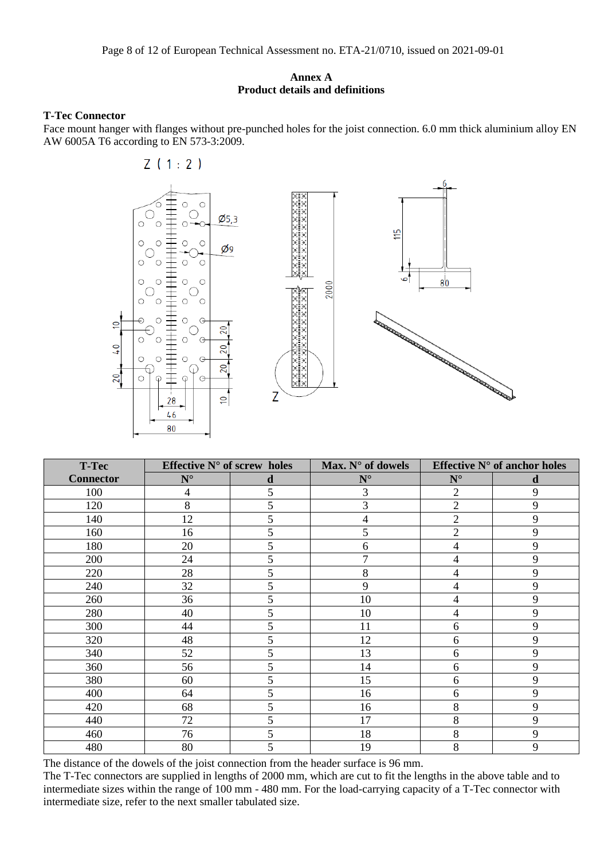#### **Annex A Product details and definitions**

#### **T-Tec Connector**

Face mount hanger with flanges without pre-punched holes for the joist connection. 6.0 mm thick aluminium alloy EN AW 6005A T6 according to EN 573-3:2009.

 $Z(1:2)$ 



| <b>T-Tec</b>     | Effective $N^{\circ}$ of screw holes |   | Max. $N^{\circ}$ of dowels | Effective $N^{\circ}$ of anchor holes |   |
|------------------|--------------------------------------|---|----------------------------|---------------------------------------|---|
| <b>Connector</b> | $N^{\circ}$                          | d | $N^{\circ}$                | $\mathbf{N}^{\circ}$                  | d |
| 100              | 4                                    | 5 | 3                          | $\overline{2}$                        | 9 |
| 120              | 8                                    | 5 | 3                          | $\overline{2}$                        | 9 |
| 140              | 12                                   | 5 | 4                          | $\overline{2}$                        | 9 |
| 160              | 16                                   | 5 | 5                          | $\overline{2}$                        | 9 |
| 180              | 20                                   | 5 | 6                          | 4                                     | 9 |
| 200              | 24                                   | 5 | $\overline{7}$             | 4                                     | 9 |
| 220              | 28                                   | 5 | 8                          | 4                                     | 9 |
| 240              | 32                                   | 5 | 9                          | 4                                     | 9 |
| 260              | 36                                   | 5 | 10                         | 4                                     | 9 |
| 280              | 40                                   | 5 | 10                         | 4                                     | 9 |
| 300              | 44                                   | 5 | 11                         | 6                                     | 9 |
| 320              | 48                                   | 5 | 12                         | 6                                     | 9 |
| 340              | 52                                   | 5 | 13                         | 6                                     | 9 |
| 360              | 56                                   | 5 | 14                         | 6                                     | 9 |
| 380              | 60                                   | 5 | 15                         | 6                                     | 9 |
| 400              | 64                                   | 5 | 16                         | 6                                     | 9 |
| 420              | 68                                   | 5 | 16                         | 8                                     | 9 |
| 440              | 72                                   | 5 | 17                         | 8                                     | 9 |
| 460              | 76                                   | 5 | 18                         | 8                                     | 9 |
| 480              | 80                                   | 5 | 19                         | 8                                     | 9 |

The distance of the dowels of the joist connection from the header surface is 96 mm.

The T-Tec connectors are supplied in lengths of 2000 mm, which are cut to fit the lengths in the above table and to intermediate sizes within the range of 100 mm - 480 mm. For the load-carrying capacity of a T-Tec connector with intermediate size, refer to the next smaller tabulated size.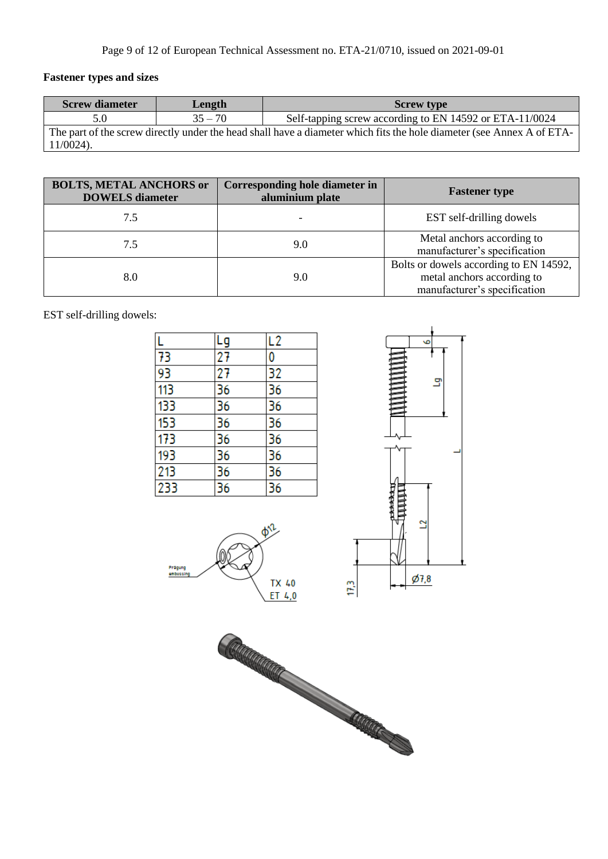# **Fastener types and sizes**

| <b>Screw diameter</b>                                                                                                 | Length    | <b>Screw type</b>                                       |  |  |
|-----------------------------------------------------------------------------------------------------------------------|-----------|---------------------------------------------------------|--|--|
|                                                                                                                       | $35 - 70$ | Self-tapping screw according to EN 14592 or ETA-11/0024 |  |  |
| The part of the screw directly under the head shall have a diameter which fits the hole diameter (see Annex A of ETA- |           |                                                         |  |  |
| $11/0024$ ).                                                                                                          |           |                                                         |  |  |

| <b>BOLTS, METAL ANCHORS or</b><br><b>DOWELS</b> diameter | Corresponding hole diameter in<br>aluminium plate | <b>Fastener type</b>                                                                                 |  |
|----------------------------------------------------------|---------------------------------------------------|------------------------------------------------------------------------------------------------------|--|
| 7.5                                                      |                                                   | EST self-drilling dowels                                                                             |  |
| 7.5                                                      | 9.0                                               | Metal anchors according to<br>manufacturer's specification                                           |  |
| 8.0                                                      | 9.0                                               | Bolts or dowels according to EN 14592,<br>metal anchors according to<br>manufacturer's specification |  |

EST self-drilling dowels:

|                 | Lg              | L <sub>2</sub>  |
|-----------------|-----------------|-----------------|
| 73              | $\overline{27}$ | 0               |
| $\overline{93}$ | 27              | 32              |
| 113             | $\overline{36}$ | 36              |
| 133             | 36              | 36              |
| 153             | $\overline{36}$ | 36              |
| 173             | $\overline{36}$ | $\overline{36}$ |
| 193             |                 |                 |
| 213             | $\frac{36}{36}$ | $\frac{36}{36}$ |
| 233             | $\overline{36}$ | $\overline{36}$ |





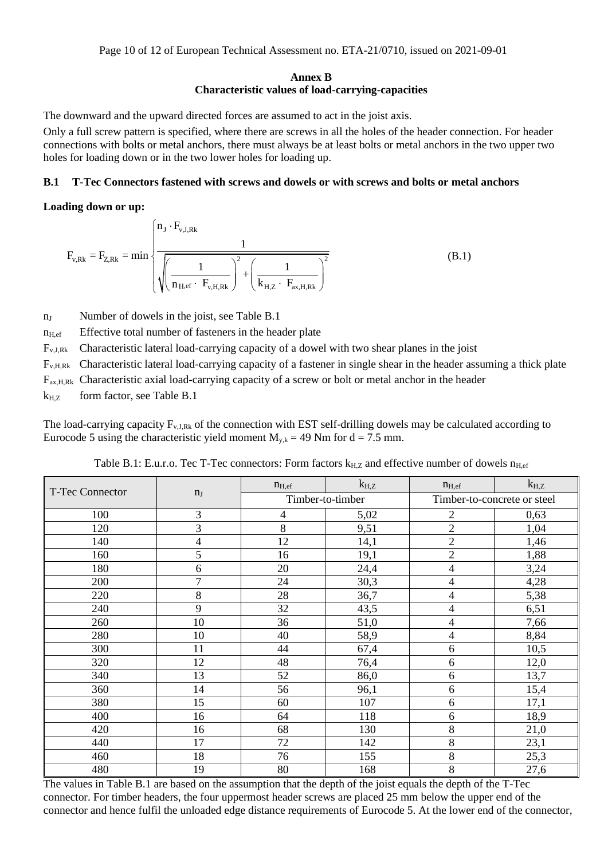#### **Annex B Characteristic values of load-carrying-capacities**

The downward and the upward directed forces are assumed to act in the joist axis.

Only a full screw pattern is specified, where there are screws in all the holes of the header connection. For header connections with bolts or metal anchors, there must always be at least bolts or metal anchors in the two upper two holes for loading down or in the two lower holes for loading up.

#### **B.1 T-Tec Connectors fastened with screws and dowels or with screws and bolts or metal anchors**

#### **Loading down or up:**

ding down or up:  
\n
$$
F_{v,Rk} = F_{Z,Rk} = \min \left\{ \frac{n_J \cdot F_{v,J,Rk}}{\sqrt{\left(\frac{1}{n_{H,ef} \cdot F_{v,H,Rk}}\right)^2 + \left(\frac{1}{k_{H,Z} \cdot F_{ax,H,Rk}}\right)^2}} \right\}
$$
\n(B.1)

n<sub>J</sub> Number of dowels in the joist, see Table B.1

 $n_{\text{H,ef}}$  Effective total number of fasteners in the header plate

Fv,J,Rk Characteristic lateral load-carrying capacity of a dowel with two shear planes in the joist

 $F_{v, H, Rk}$  Characteristic lateral load-carrying capacity of a fastener in single shear in the header assuming a thick plate

 $F_{ax,H,Rk}$  Characteristic axial load-carrying capacity of a screw or bolt or metal anchor in the header

 $k_{H,Z}$  form factor, see Table B.1

The load-carrying capacity  $F_{v,J,Rk}$  of the connection with EST self-drilling dowels may be calculated according to Eurocode 5 using the characteristic yield moment  $M_{y,k} = 49$  Nm for d = 7.5 mm.

Table B.1: E.u.r.o. Tec T-Tec connectors: Form factors  $k_{H,Z}$  and effective number of dowels  $n_{Hef}$ 

| <b>T-Tec Connector</b> |                | $n_{H,ef}$ | $k_{H,Z}$        | $n_{H,ef}$               | $k_{H,Z}$                   |  |
|------------------------|----------------|------------|------------------|--------------------------|-----------------------------|--|
|                        | n <sub>J</sub> |            | Timber-to-timber |                          | Timber-to-concrete or steel |  |
| 100                    | 3              | 4          | 5,02             | $\mathbf{2}$             | 0,63                        |  |
| 120                    | 3              | 8          | 9,51             | $\overline{2}$           | 1,04                        |  |
| 140                    | $\overline{4}$ | 12         | 14,1             | $\overline{2}$           | 1,46                        |  |
| 160                    | 5              | 16         | 19,1             | $\overline{2}$           | 1,88                        |  |
| 180                    | 6              | 20         | 24,4             | $\overline{\mathcal{A}}$ | 3,24                        |  |
| 200                    | $\overline{7}$ | 24         | 30,3             | $\overline{4}$           | 4,28                        |  |
| 220                    | 8              | 28         | 36,7             | $\overline{4}$           | 5,38                        |  |
| 240                    | 9              | 32         | 43,5             | 4                        | 6,51                        |  |
| 260                    | 10             | 36         | 51,0             | $\overline{\mathcal{A}}$ | 7,66                        |  |
| 280                    | 10             | 40         | 58,9             | $\overline{4}$           | 8,84                        |  |
| 300                    | 11             | 44         | 67,4             | 6                        | 10,5                        |  |
| 320                    | 12             | 48         | 76,4             | 6                        | 12,0                        |  |
| 340                    | 13             | 52         | 86,0             | 6                        | 13,7                        |  |
| 360                    | 14             | 56         | 96,1             | 6                        | 15,4                        |  |
| 380                    | 15             | 60         | 107              | 6                        | 17,1                        |  |
| 400                    | 16             | 64         | 118              | 6                        | 18,9                        |  |
| 420                    | 16             | 68         | 130              | 8                        | 21,0                        |  |
| 440                    | 17             | 72         | 142              | 8                        | 23,1                        |  |
| 460                    | 18             | 76         | 155              | 8                        | 25,3                        |  |
| 480                    | 19             | 80         | 168              | 8                        | 27,6                        |  |

The values in Table B.1 are based on the assumption that the depth of the joist equals the depth of the T-Tec connector. For timber headers, the four uppermost header screws are placed 25 mm below the upper end of the connector and hence fulfil the unloaded edge distance requirements of Eurocode 5. At the lower end of the connector,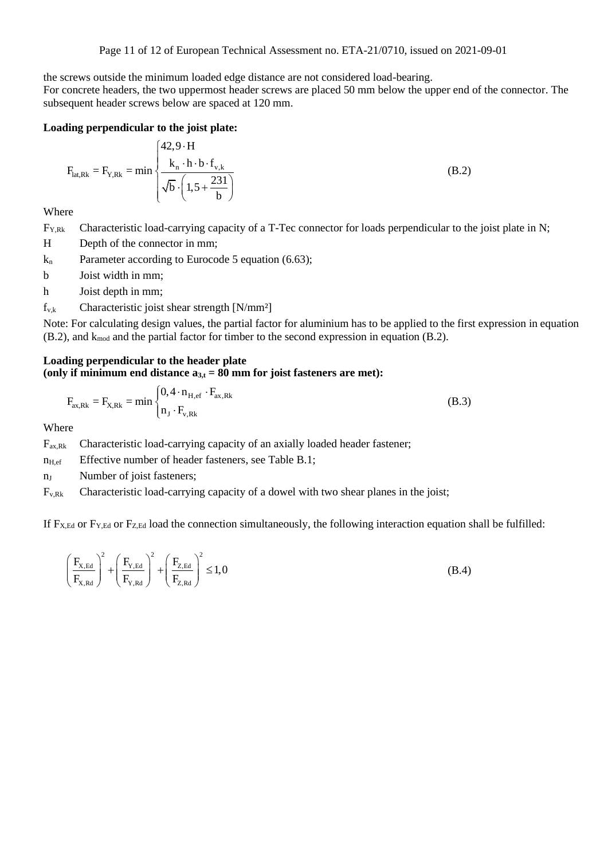the screws outside the minimum loaded edge distance are not considered load-bearing.

For concrete headers, the two uppermost header screws are placed 50 mm below the upper end of the connector. The subsequent header screws below are spaced at 120 mm.

**loading perpendicular to the joist plate:**  

$$
F_{lat,Rk} = F_{Y,Rk} = \min \begin{cases} 42.9 \cdot H \\ \frac{k_n \cdot h \cdot b \cdot f_{v,k}}{\sqrt{b} \cdot \left(1.5 + \frac{231}{b}\right)} \end{cases}
$$
(B.2)

Where

F<sub>Y,Rk</sub> Characteristic load-carrying capacity of a T-Tec connector for loads perpendicular to the joist plate in N;

H Depth of the connector in mm;

 $k_n$  Parameter according to Eurocode 5 equation (6.63);

b Joist width in mm;

h Joist depth in mm;

 $f_{v,k}$  Characteristic joist shear strength [N/mm<sup>2</sup>]

Note: For calculating design values, the partial factor for aluminium has to be applied to the first expression in equation  $(B.2)$ , and k<sub>mod</sub> and the partial factor for timber to the second expression in equation  $(B.2)$ .

# **Loading perpendicular to the header plate**

(only if minimum end distance 
$$
a_{3,t} = 80
$$
 mm for joist fasteners are met):  

$$
F_{ax,Rk} = F_{X,Rk} = \min \begin{cases} 0, 4 \cdot n_{H,ef} \cdot F_{ax,Rk} \\ n_J \cdot F_{v,Rk} \end{cases}
$$
(B.3)

**Where** 

 $F_{ax,Rk}$  Characteristic load-carrying capacity of an axially loaded header fastener;

 $n_{\text{H,ef}}$  Effective number of header fasteners, see Table B.1;

n<sub>J</sub> Number of joist fasteners;

Fv,Rk Characteristic load-carrying capacity of a dowel with two shear planes in the joist;

If  $F_{X,Ed}$  or  $F_{Y,Ed}$  or  $F_{Z,Ed}$  load the connection simultaneously, the following interaction equation shall be fulfilled:

$$
\left(\frac{F_{X,Ed}}{F_{X,Red}}\right)^{2} + \left(\frac{F_{Y,Ed}}{F_{Y,Red}}\right)^{2} + \left(\frac{F_{Z,Ed}}{F_{Z,Red}}\right)^{2} \le 1,0
$$
\n(B.4)